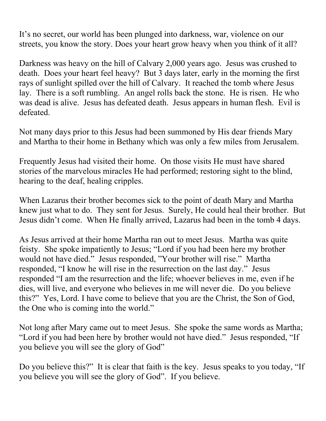It's no secret, our world has been plunged into darkness, war, violence on our streets, you know the story. Does your heart grow heavy when you think of it all?

Darkness was heavy on the hill of Calvary 2,000 years ago. Jesus was crushed to death. Does your heart feel heavy? But 3 days later, early in the morning the first rays of sunlight spilled over the hill of Calvary. It reached the tomb where Jesus lay. There is a soft rumbling. An angel rolls back the stone. He is risen. He who was dead is alive. Jesus has defeated death. Jesus appears in human flesh. Evil is defeated.

Not many days prior to this Jesus had been summoned by His dear friends Mary and Martha to their home in Bethany which was only a few miles from Jerusalem.

Frequently Jesus had visited their home. On those visits He must have shared stories of the marvelous miracles He had performed; restoring sight to the blind, hearing to the deaf, healing cripples.

When Lazarus their brother becomes sick to the point of death Mary and Martha knew just what to do. They sent for Jesus. Surely, He could heal their brother. But Jesus didn't come. When He finally arrived, Lazarus had been in the tomb 4 days.

As Jesus arrived at their home Martha ran out to meet Jesus. Martha was quite feisty. She spoke impatiently to Jesus; "Lord if you had been here my brother would not have died." Jesus responded, "Your brother will rise." Martha responded, "I know he will rise in the resurrection on the last day." Jesus responded "I am the resurrection and the life; whoever believes in me, even if he dies, will live, and everyone who believes in me will never die. Do you believe this?" Yes, Lord. I have come to believe that you are the Christ, the Son of God, the One who is coming into the world."

Not long after Mary came out to meet Jesus. She spoke the same words as Martha; "Lord if you had been here by brother would not have died." Jesus responded, "If you believe you will see the glory of God"

Do you believe this?" It is clear that faith is the key. Jesus speaks to you today, "If you believe you will see the glory of God". If you believe.